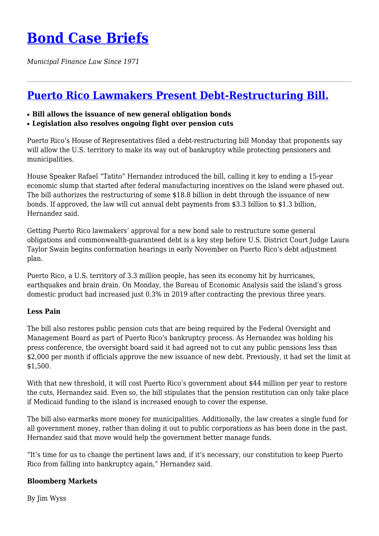## **[Bond Case Briefs](https://bondcasebriefs.com)**

*Municipal Finance Law Since 1971*

## **[Puerto Rico Lawmakers Present Debt-Restructuring Bill.](https://bondcasebriefs.com/2021/10/05/news/puerto-rico-lawmakers-present-debt-restructuring-bill/)**

- **Bill allows the issuance of new general obligation bonds**
- **Legislation also resolves ongoing fight over pension cuts**

Puerto Rico's House of Representatives filed a debt-restructuring bill Monday that proponents say will allow the U.S. territory to make its way out of bankruptcy while protecting pensioners and municipalities.

House Speaker Rafael "Tatito" Hernandez introduced the bill, calling it key to ending a 15-year economic slump that started after federal manufacturing incentives on the island were phased out. The bill authorizes the restructuring of some \$18.8 billion in debt through the issuance of new bonds. If approved, the law will cut annual debt payments from \$3.3 billion to \$1.3 billion, Hernandez said.

Getting Puerto Rico lawmakers' approval for a new bond sale to restructure some general obligations and commonwealth-guaranteed debt is a key step before U.S. District Court Judge Laura Taylor Swain begins conformation hearings in early November on Puerto Rico's debt adjustment plan.

Puerto Rico, a U.S. territory of 3.3 million people, has seen its economy hit by hurricanes, earthquakes and brain drain. On Monday, the Bureau of Economic Analysis said the island's gross domestic product had increased just 0.3% in 2019 after contracting the previous three years.

## **Less Pain**

The bill also restores public pension cuts that are being required by the Federal Oversight and Management Board as part of Puerto Rico's bankruptcy process. As Hernandez was holding his press conference, the oversight board said it had agreed not to cut any public pensions less than \$2,000 per month if officials approve the new issuance of new debt. Previously, it had set the limit at \$1,500.

With that new threshold, it will cost Puerto Rico's government about \$44 million per year to restore the cuts, Hernandez said. Even so, the bill stipulates that the pension restitution can only take place if Medicaid funding to the island is increased enough to cover the expense.

The bill also earmarks more money for municipalities. Additionally, the law creates a single fund for all government money, rather than doling it out to public corporations as has been done in the past. Hernandez said that move would help the government better manage funds.

"It's time for us to change the pertinent laws and, if it's necessary, our constitution to keep Puerto Rico from falling into bankruptcy again," Hernandez said.

## **Bloomberg Markets**

By Jim Wyss